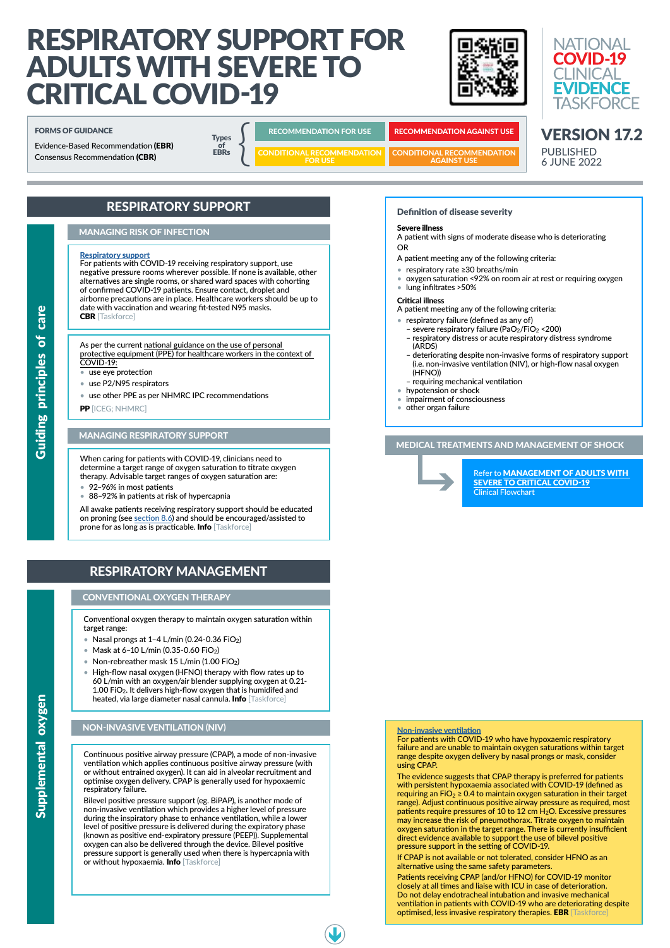# RESPIRATORY SUPPORT FOR ADULTS WITH SEVERE TO CRITICAL COVID-19





# RESPIRATORY SUPPORT

# MANAGING RISK OF INFECTION

# **[Respiratory support](https://app.magicapp.org/#/guideline/L4Q5An/rec/jW731j)**

For patients with COVID-19 receiving respiratory support, use negative pressure rooms wherever possible. If none is available, other alternatives are single rooms, or shared ward spaces with cohorting of confirmed COVID-19 patients. Ensure contact, droplet and airborne precautions are in place. Healthcare workers should be up to date with vaccination and wearing fit-tested N95 masks. CBR [Taskforce]

As per the current [national guidance on the use of personal](https://www.health.gov.au/sites/default/files/documents/2021/06/guidance-on-the-use-of-personal-protective-equipment-ppe-for-health-care-workers-in-the-context-of-covid-19.pdf)  [protective equipment \(PPE\) for healthcare workers in the context of](https://www.health.gov.au/sites/default/files/documents/2021/06/guidance-on-the-use-of-personal-protective-equipment-ppe-for-health-care-workers-in-the-context-of-covid-19.pdf)  [COVID-19:](https://www.health.gov.au/sites/default/files/documents/2021/06/guidance-on-the-use-of-personal-protective-equipment-ppe-for-health-care-workers-in-the-context-of-covid-19.pdf)

- Nasal prongs at  $1-4$  L/min (0.24-0.36 FiO<sub>2</sub>)
- Mask at 6–10 L/min (0.35-0.60 FiO2)
- Non-rebreather mask 15 L/min  $(1.00 \text{ FiO}_2)$
- High-flow nasal oxygen (HFNO) therapy with flow rates up to 60 L/min with an oxygen/air blender supplying oxygen at 0.21- 1.00 FiO<sub>2</sub>. It delivers high-flow oxygen that is humidifed and heated, via large diameter nasal cannula. Info [Taskforce]

- use eye protection
- use P2/N95 respirators
- use other PPE as per NHMRC IPC recommendations

PP [ICEG; NHMRC]

VERSION 17.2

PUBLISHED 6 JUNE 2022

# MEDICAL TREATMENTS AND MANAGEMENT OF SHOCK



Refer to [MANAGEMENT OF ADULTS WITH](https://covid19evidence.net.au/wp-content/uploads/FLOWCHART-SEVERE-CRITICAL.pdf)  [SEVERE TO CRITICAL COVID-19](https://covid19evidence.net.au/wp-content/uploads/FLOWCHART-SEVERE-CRITICAL.pdf) Clinical Flowchart

# CONVENTIONAL OXYGEN THERAPY

Conventional oxygen therapy to maintain oxygen saturation within target range:

- respiratory failure (defined as any of)
- severe respiratory failure (PaO $_2$ /FiO $_2$  <200)
- respiratory distress or acute respiratory distress syndrome (ARDS)
- deteriorating despite non-invasive forms of respiratory support (i.e. non-invasive ventilation (NIV), or high-flow nasal oxygen (HFNO))
- requiring mechanical ventilation
- hypotension or shock
- impairment of consciousness
- other organ failure

All awake patients receiving respiratory support should be educated on proning (see [section 8.6](https://app.magicapp.org/#/guideline/L4Q5An/section/jzBblj)) and should be encouraged/assisted to prone for as long as is practicable. Info [Taskforce]

Definition of disease severity

Severe illness

Bilevel positive pressure support (eg. BiPAP), is another mode of non-invasive ventilation which provides a higher level of pressure during the inspiratory phase to enhance ventilation, while a lower level of positive pressure is delivered during the expiratory phase (known as positive end-expiratory pressure (PEEP)). Supplemental oxygen can also be delivered through the device. Bilevel positive pressure support is generally used when there is hypercapnia with or without hypoxaemia. Info [Taskforce]

## A patient with signs of moderate disease who is deteriorating OR

A patient meeting any of the following criteria:

- respiratory rate ≥30 breaths/min
- oxygen saturation <92% on room air at rest or requiring oxygen
- lung infiltrates >50%

#### Critical illness

A patient meeting any of the following criteria:

When caring for patients with COVID-19, clinicians need to determine a target range of oxygen saturation to titrate oxygen therapy. Advisable target ranges of oxygen saturation are:

- 92–96% in most patients
- 88–92% in patients at risk of hypercapnia

# RESPIRATORY MANAGEMENT

# MANAGING RESPIRATORY SUPPORT

# NON-INVASIVE VENTILATION (NIV)

Continuous positive airway pressure (CPAP), a mode of non-invasive ventilation which applies continuous positive airway pressure (with or without entrained oxygen). It can aid in alveolar recruitment and optimise oxygen delivery. CPAP is generally used for hypoxaemic respiratory failure.

# FORMS OF GUIDANCE

Evidence-Based Recommendation (EBR)

**Types** of<br>EBRs  $\begin{array}{c}\n\text{Types} \\
\text{of} \\
\text{EBRs}\n\end{array}$ 

RECOMMENDATION FOR USE RECOMMENDATION AGAINST USE

CONDITIONAL RECOMMENDATION FOR USE

Consensus Recommendation (CBR) The EBRs CONDITIONAL RECOMMENDATION CONDITIONAL RECOMMENDATION

#### [Non-invasive ventilation](https://app.magicapp.org/#/guideline/L4Q5An/rec/jzoRVe)

For patients with COVID-19 who have hypoxaemic respiratory failure and are unable to maintain oxygen saturations within target range despite oxygen delivery by nasal prongs or mask, consider using CPAP.

The evidence suggests that CPAP therapy is preferred for patients with persistent hypoxaemia associated with COVID-19 (defined as requiring an FiO<sub>2</sub>  $\geq$  0.4 to maintain oxygen saturation in their target range). Adjust continuous positive airway pressure as required, most patients require pressures of 10 to 12 cm  $H_2O$ . Excessive pressures may increase the risk of pneumothorax. Titrate oxygen to maintain oxygen saturation in the target range. There is currently insufficient direct evidence available to support the use of bilevel positive pressure support in the setting of COVID-19.

If CPAP is not available or not tolerated, consider HFNO as an alternative using the same safety parameters.

Patients receiving CPAP (and/or HFNO) for COVID-19 monitor closely at all times and liaise with ICU in case of deterioration. Do not delay endotracheal intubation and invasive mechanical ventilation in patients with COVID-19 who are deteriorating despite optimised, less invasive respiratory therapies. EBR [Taskforce]